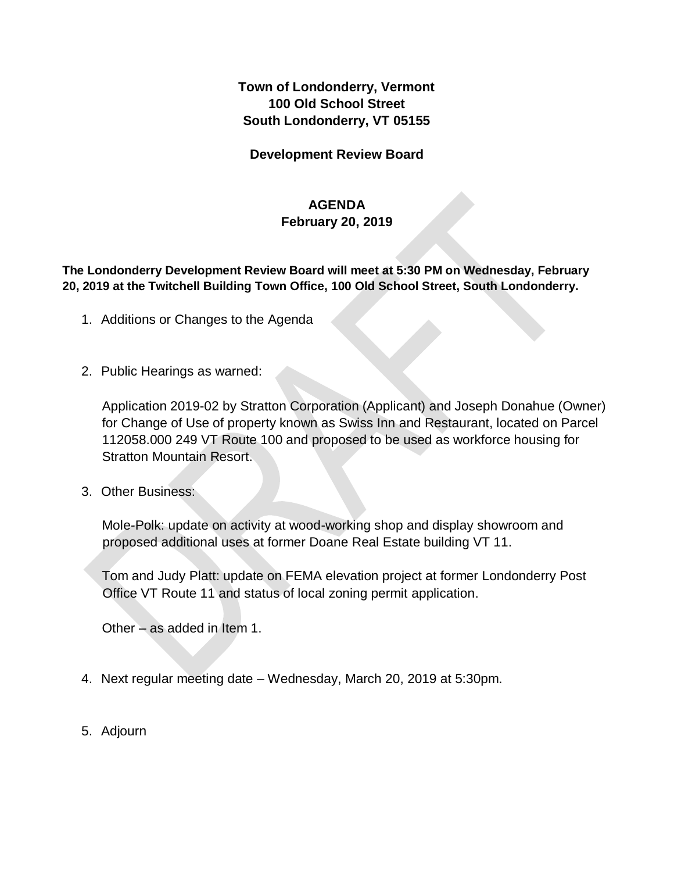**Town of Londonderry, Vermont 100 Old School Street South Londonderry, VT 05155** 

**Development Review Board** 

## **AGENDA**

## **February 20, 2019**

**The Londonderry Development Review Board will meet at 5:30 PM on Wednesday, February 20, 2019 at the Twitchell Building Town Office, 100 Old School Street, South Londonderry.** 

- 1. Additions or Changes to the Agenda
- 2. Public Hearings as warned:

Application 2019-02 by Stratton Corporation (Applicant) and Joseph Donahue (Owner) for Change of Use of property known as Swiss Inn and Restaurant, located on Parcel 112058.000 249 VT Route 100 and proposed to be used as workforce housing for Stratton Mountain Resort.

3. Other Business:

Mole-Polk: update on activity at wood-working shop and display showroom and proposed additional uses at former Doane Real Estate building VT 11.

Tom and Judy Platt: update on FEMA elevation project at former Londonderry Post Office VT Route 11 and status of local zoning permit application.

Other – as added in Item 1.

- 4. Next regular meeting date Wednesday, March 20, 2019 at 5:30pm.
- 5. Adjourn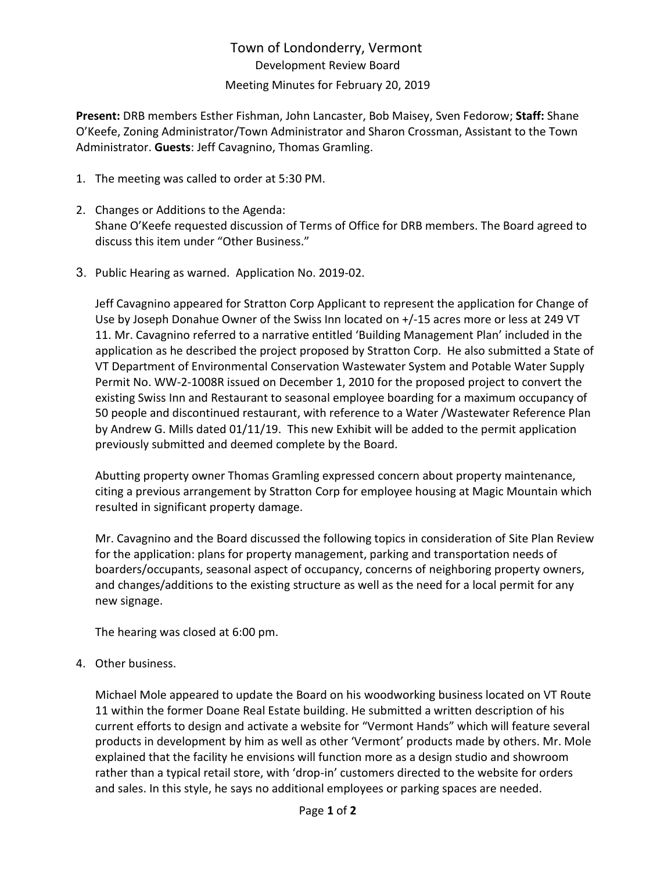# Town of Londonderry, Vermont Development Review Board Meeting Minutes for February 20, 2019

**Present:** DRB members Esther Fishman, John Lancaster, Bob Maisey, Sven Fedorow; **Staff:** Shane O'Keefe, Zoning Administrator/Town Administrator and Sharon Crossman, Assistant to the Town Administrator. **Guests**: Jeff Cavagnino, Thomas Gramling.

- 1. The meeting was called to order at 5:30 PM.
- 2. Changes or Additions to the Agenda: Shane O'Keefe requested discussion of Terms of Office for DRB members. The Board agreed to discuss this item under "Other Business."
- 3. Public Hearing as warned. Application No. 2019-02.

Jeff Cavagnino appeared for Stratton Corp Applicant to represent the application for Change of Use by Joseph Donahue Owner of the Swiss Inn located on +/-15 acres more or less at 249 VT 11. Mr. Cavagnino referred to a narrative entitled 'Building Management Plan' included in the application as he described the project proposed by Stratton Corp. He also submitted a State of VT Department of Environmental Conservation Wastewater System and Potable Water Supply Permit No. WW-2-1008R issued on December 1, 2010 for the proposed project to convert the existing Swiss Inn and Restaurant to seasonal employee boarding for a maximum occupancy of 50 people and discontinued restaurant, with reference to a Water /Wastewater Reference Plan by Andrew G. Mills dated 01/11/19. This new Exhibit will be added to the permit application previously submitted and deemed complete by the Board.

Abutting property owner Thomas Gramling expressed concern about property maintenance, citing a previous arrangement by Stratton Corp for employee housing at Magic Mountain which resulted in significant property damage.

Mr. Cavagnino and the Board discussed the following topics in consideration of Site Plan Review for the application: plans for property management, parking and transportation needs of boarders/occupants, seasonal aspect of occupancy, concerns of neighboring property owners, and changes/additions to the existing structure as well as the need for a local permit for any new signage.

The hearing was closed at 6:00 pm.

4. Other business.

Michael Mole appeared to update the Board on his woodworking business located on VT Route 11 within the former Doane Real Estate building. He submitted a written description of his current efforts to design and activate a website for "Vermont Hands" which will feature several products in development by him as well as other 'Vermont' products made by others. Mr. Mole explained that the facility he envisions will function more as a design studio and showroom rather than a typical retail store, with 'drop-in' customers directed to the website for orders and sales. In this style, he says no additional employees or parking spaces are needed.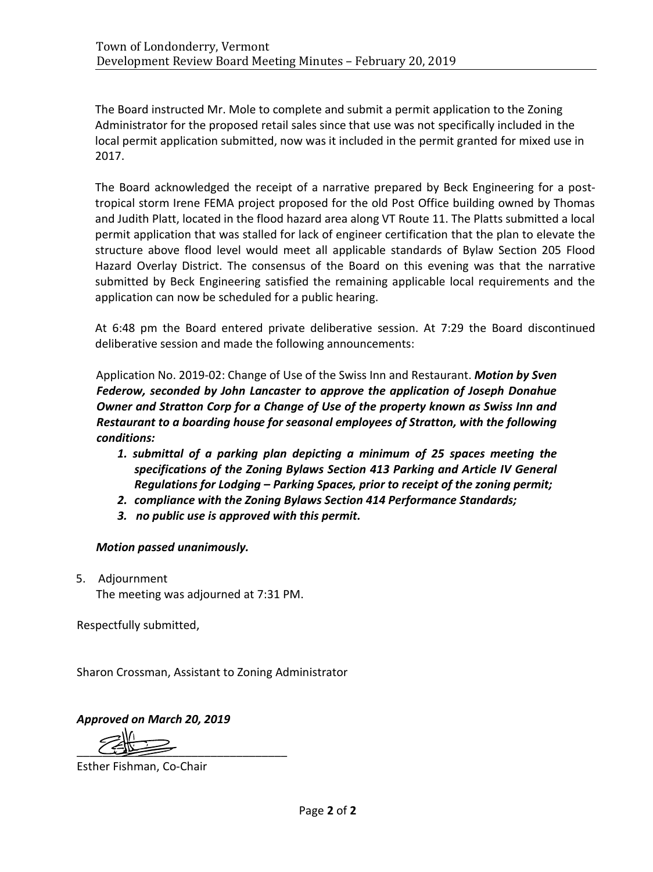The Board instructed Mr. Mole to complete and submit a permit application to the Zoning Administrator for the proposed retail sales since that use was not specifically included in the local permit application submitted, now was it included in the permit granted for mixed use in 2017.

The Board acknowledged the receipt of a narrative prepared by Beck Engineering for a posttropical storm Irene FEMA project proposed for the old Post Office building owned by Thomas and Judith Platt, located in the flood hazard area along VT Route 11. The Platts submitted a local permit application that was stalled for lack of engineer certification that the plan to elevate the structure above flood level would meet all applicable standards of Bylaw Section 205 Flood Hazard Overlay District. The consensus of the Board on this evening was that the narrative submitted by Beck Engineering satisfied the remaining applicable local requirements and the application can now be scheduled for a public hearing.

At 6:48 pm the Board entered private deliberative session. At 7:29 the Board discontinued deliberative session and made the following announcements:

Application No. 2019-02: Change of Use of the Swiss Inn and Restaurant. *Motion by Sven Federow, seconded by John Lancaster to approve the application of Joseph Donahue Owner and Stratton Corp for a Change of Use of the property known as Swiss Inn and Restaurant to a boarding house for seasonal employees of Stratton, with the following conditions:*

- *1. submittal of a parking plan depicting a minimum of 25 spaces meeting the specifications of the Zoning Bylaws Section 413 Parking and Article IV General Regulations for Lodging – Parking Spaces, prior to receipt of the zoning permit;*
- *2. compliance with the Zoning Bylaws Section 414 Performance Standards;*
- *3. no public use is approved with this permit.*

# *Motion passed unanimously.*

5. Adjournment

The meeting was adjourned at 7:31 PM.

Respectfully submitted,

Sharon Crossman, Assistant to Zoning Administrator

*Approved on March 20, 2019*

 $\overline{C}$ 

Esther Fishman, Co-Chair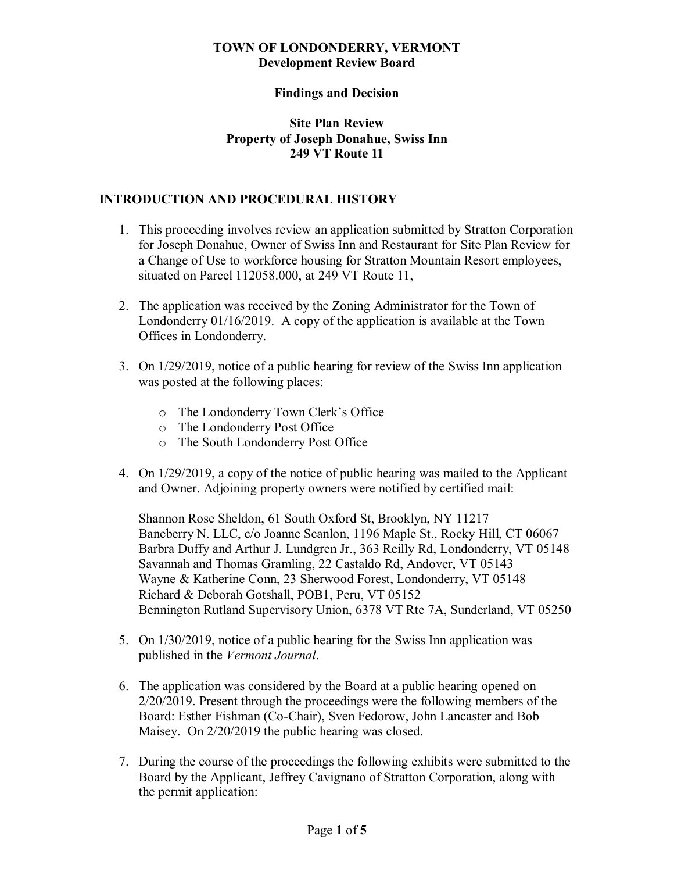#### **TOWN OF LONDONDERRY, VERMONT Development Review Board**

#### **Findings and Decision**

#### **Site Plan Review Property of Joseph Donahue, Swiss Inn 249 VT Route 11**

#### **INTRODUCTION AND PROCEDURAL HISTORY**

- 1. This proceeding involves review an application submitted by Stratton Corporation for Joseph Donahue, Owner of Swiss Inn and Restaurant for Site Plan Review for a Change of Use to workforce housing for Stratton Mountain Resort employees, situated on Parcel 112058.000, at 249 VT Route 11,
- 2. The application was received by the Zoning Administrator for the Town of Londonderry 01/16/2019. A copy of the application is available at the Town Offices in Londonderry.
- 3. On 1/29/2019, notice of a public hearing for review of the Swiss Inn application was posted at the following places:
	- o The Londonderry Town Clerk's Office
	- o The Londonderry Post Office
	- o The South Londonderry Post Office
- 4. On 1/29/2019, a copy of the notice of public hearing was mailed to the Applicant and Owner. Adjoining property owners were notified by certified mail:

Shannon Rose Sheldon, 61 South Oxford St, Brooklyn, NY 11217 Baneberry N. LLC, c/o Joanne Scanlon, 1196 Maple St., Rocky Hill, CT 06067 Barbra Duffy and Arthur J. Lundgren Jr., 363 Reilly Rd, Londonderry, VT 05148 Savannah and Thomas Gramling, 22 Castaldo Rd, Andover, VT 05143 Wayne & Katherine Conn, 23 Sherwood Forest, Londonderry, VT 05148 Richard & Deborah Gotshall, POB1, Peru, VT 05152 Bennington Rutland Supervisory Union, 6378 VT Rte 7A, Sunderland, VT 05250

- 5. On 1/30/2019, notice of a public hearing for the Swiss Inn application was published in the *Vermont Journal*.
- 6. The application was considered by the Board at a public hearing opened on 2/20/2019. Present through the proceedings were the following members of the Board: Esther Fishman (Co-Chair), Sven Fedorow, John Lancaster and Bob Maisey. On 2/20/2019 the public hearing was closed.
- 7. During the course of the proceedings the following exhibits were submitted to the Board by the Applicant, Jeffrey Cavignano of Stratton Corporation, along with the permit application: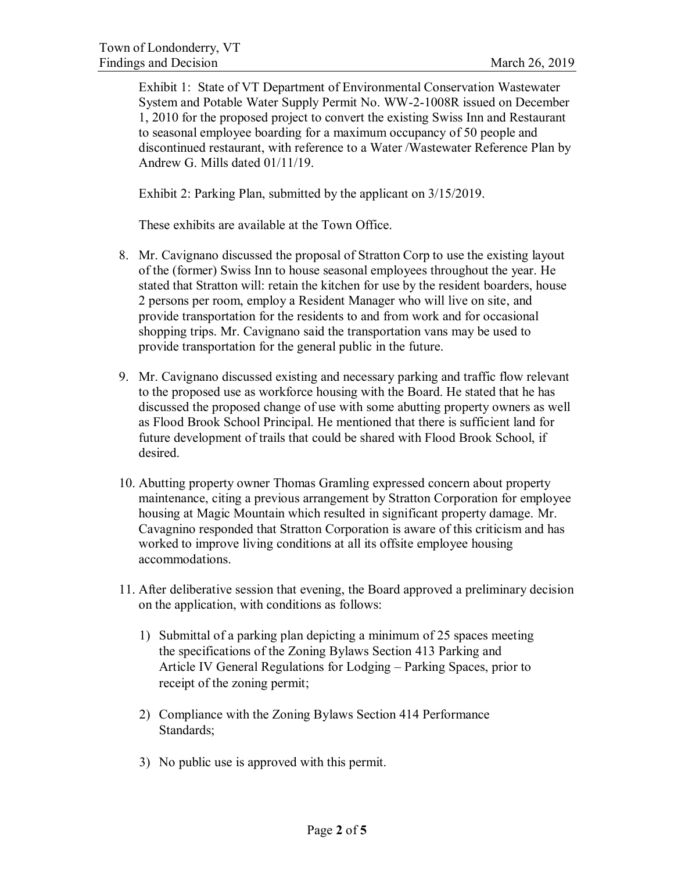Exhibit 1: State of VT Department of Environmental Conservation Wastewater System and Potable Water Supply Permit No. WW-2-1008R issued on December 1, 2010 for the proposed project to convert the existing Swiss Inn and Restaurant to seasonal employee boarding for a maximum occupancy of 50 people and discontinued restaurant, with reference to a Water /Wastewater Reference Plan by Andrew G. Mills dated 01/11/19.

Exhibit 2: Parking Plan, submitted by the applicant on 3/15/2019.

These exhibits are available at the Town Office.

- 8. Mr. Cavignano discussed the proposal of Stratton Corp to use the existing layout of the (former) Swiss Inn to house seasonal employees throughout the year. He stated that Stratton will: retain the kitchen for use by the resident boarders, house 2 persons per room, employ a Resident Manager who will live on site, and provide transportation for the residents to and from work and for occasional shopping trips. Mr. Cavignano said the transportation vans may be used to provide transportation for the general public in the future.
- 9. Mr. Cavignano discussed existing and necessary parking and traffic flow relevant to the proposed use as workforce housing with the Board. He stated that he has discussed the proposed change of use with some abutting property owners as well as Flood Brook School Principal. He mentioned that there is sufficient land for future development of trails that could be shared with Flood Brook School, if desired.
- 10. Abutting property owner Thomas Gramling expressed concern about property maintenance, citing a previous arrangement by Stratton Corporation for employee housing at Magic Mountain which resulted in significant property damage. Mr. Cavagnino responded that Stratton Corporation is aware of this criticism and has worked to improve living conditions at all its offsite employee housing accommodations.
- 11. After deliberative session that evening, the Board approved a preliminary decision on the application, with conditions as follows:
	- 1) Submittal of a parking plan depicting a minimum of 25 spaces meeting the specifications of the Zoning Bylaws Section 413 Parking and Article IV General Regulations for Lodging – Parking Spaces, prior to receipt of the zoning permit;
	- 2) Compliance with the Zoning Bylaws Section 414 Performance Standards;
	- 3) No public use is approved with this permit.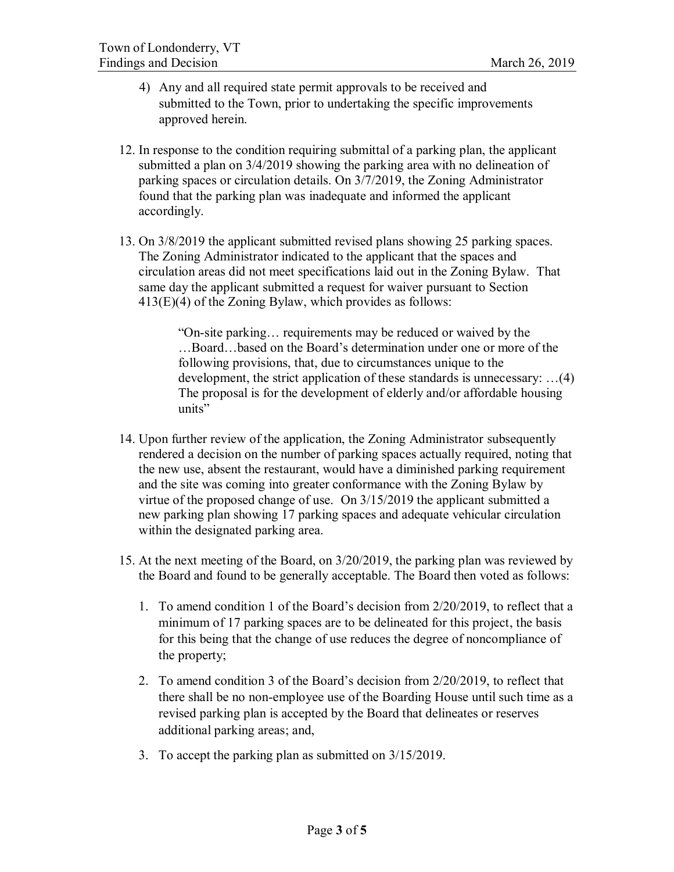- 4) Any and all required state permit approvals to be received and submitted to the Town, prior to undertaking the specific improvements approved herein.
- 12. In response to the condition requiring submittal of a parking plan, the applicant submitted a plan on 3/4/2019 showing the parking area with no delineation of parking spaces or circulation details. On 3/7/2019, the Zoning Administrator found that the parking plan was inadequate and informed the applicant accordingly.
- 13. On 3/8/2019 the applicant submitted revised plans showing 25 parking spaces. The Zoning Administrator indicated to the applicant that the spaces and circulation areas did not meet specifications laid out in the Zoning Bylaw. That same day the applicant submitted a request for waiver pursuant to Section 413(E)(4) of the Zoning Bylaw, which provides as follows:

"On-site parking… requirements may be reduced or waived by the …Board…based on the Board's determination under one or more of the following provisions, that, due to circumstances unique to the development, the strict application of these standards is unnecessary: …(4) The proposal is for the development of elderly and/or affordable housing units"

- 14. Upon further review of the application, the Zoning Administrator subsequently rendered a decision on the number of parking spaces actually required, noting that the new use, absent the restaurant, would have a diminished parking requirement and the site was coming into greater conformance with the Zoning Bylaw by virtue of the proposed change of use. On 3/15/2019 the applicant submitted a new parking plan showing 17 parking spaces and adequate vehicular circulation within the designated parking area.
- 15. At the next meeting of the Board, on 3/20/2019, the parking plan was reviewed by the Board and found to be generally acceptable. The Board then voted as follows:
	- 1. To amend condition 1 of the Board's decision from 2/20/2019, to reflect that a minimum of 17 parking spaces are to be delineated for this project, the basis for this being that the change of use reduces the degree of noncompliance of the property;
	- 2. To amend condition 3 of the Board's decision from 2/20/2019, to reflect that there shall be no non-employee use of the Boarding House until such time as a revised parking plan is accepted by the Board that delineates or reserves additional parking areas; and,
	- 3. To accept the parking plan as submitted on 3/15/2019.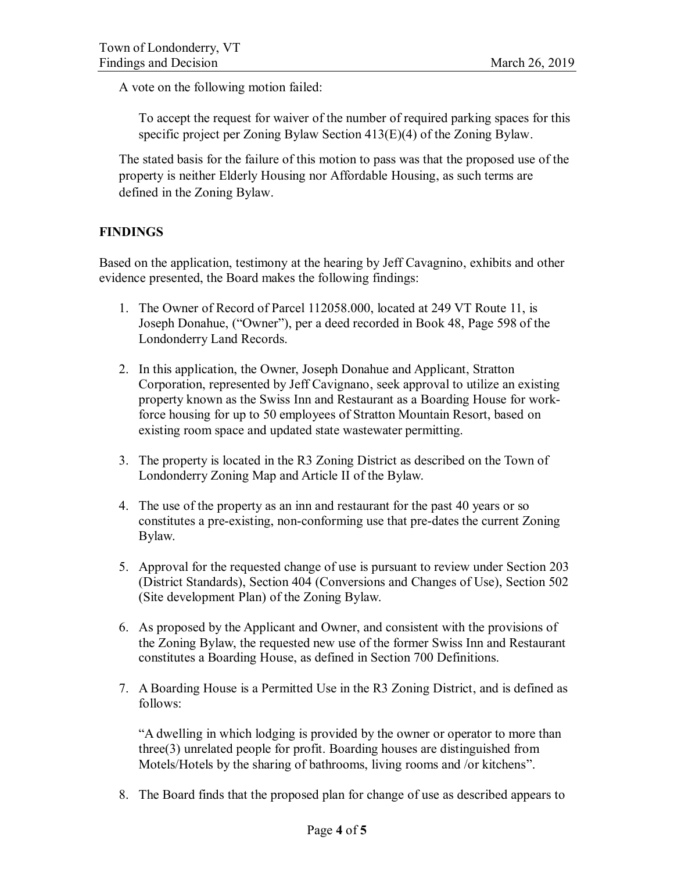A vote on the following motion failed:

To accept the request for waiver of the number of required parking spaces for this specific project per Zoning Bylaw Section 413(E)(4) of the Zoning Bylaw.

The stated basis for the failure of this motion to pass was that the proposed use of the property is neither Elderly Housing nor Affordable Housing, as such terms are defined in the Zoning Bylaw.

# **FINDINGS**

Based on the application, testimony at the hearing by Jeff Cavagnino, exhibits and other evidence presented, the Board makes the following findings:

- 1. The Owner of Record of Parcel 112058.000, located at 249 VT Route 11, is Joseph Donahue, ("Owner"), per a deed recorded in Book 48, Page 598 of the Londonderry Land Records.
- 2. In this application, the Owner, Joseph Donahue and Applicant, Stratton Corporation, represented by Jeff Cavignano, seek approval to utilize an existing property known as the Swiss Inn and Restaurant as a Boarding House for workforce housing for up to 50 employees of Stratton Mountain Resort, based on existing room space and updated state wastewater permitting.
- 3. The property is located in the R3 Zoning District as described on the Town of Londonderry Zoning Map and Article II of the Bylaw.
- 4. The use of the property as an inn and restaurant for the past 40 years or so constitutes a pre-existing, non-conforming use that pre-dates the current Zoning Bylaw.
- 5. Approval for the requested change of use is pursuant to review under Section 203 (District Standards), Section 404 (Conversions and Changes of Use), Section 502 (Site development Plan) of the Zoning Bylaw.
- 6. As proposed by the Applicant and Owner, and consistent with the provisions of the Zoning Bylaw, the requested new use of the former Swiss Inn and Restaurant constitutes a Boarding House, as defined in Section 700 Definitions.
- 7. A Boarding House is a Permitted Use in the R3 Zoning District, and is defined as follows:

"A dwelling in which lodging is provided by the owner or operator to more than three(3) unrelated people for profit. Boarding houses are distinguished from Motels/Hotels by the sharing of bathrooms, living rooms and /or kitchens".

8. The Board finds that the proposed plan for change of use as described appears to